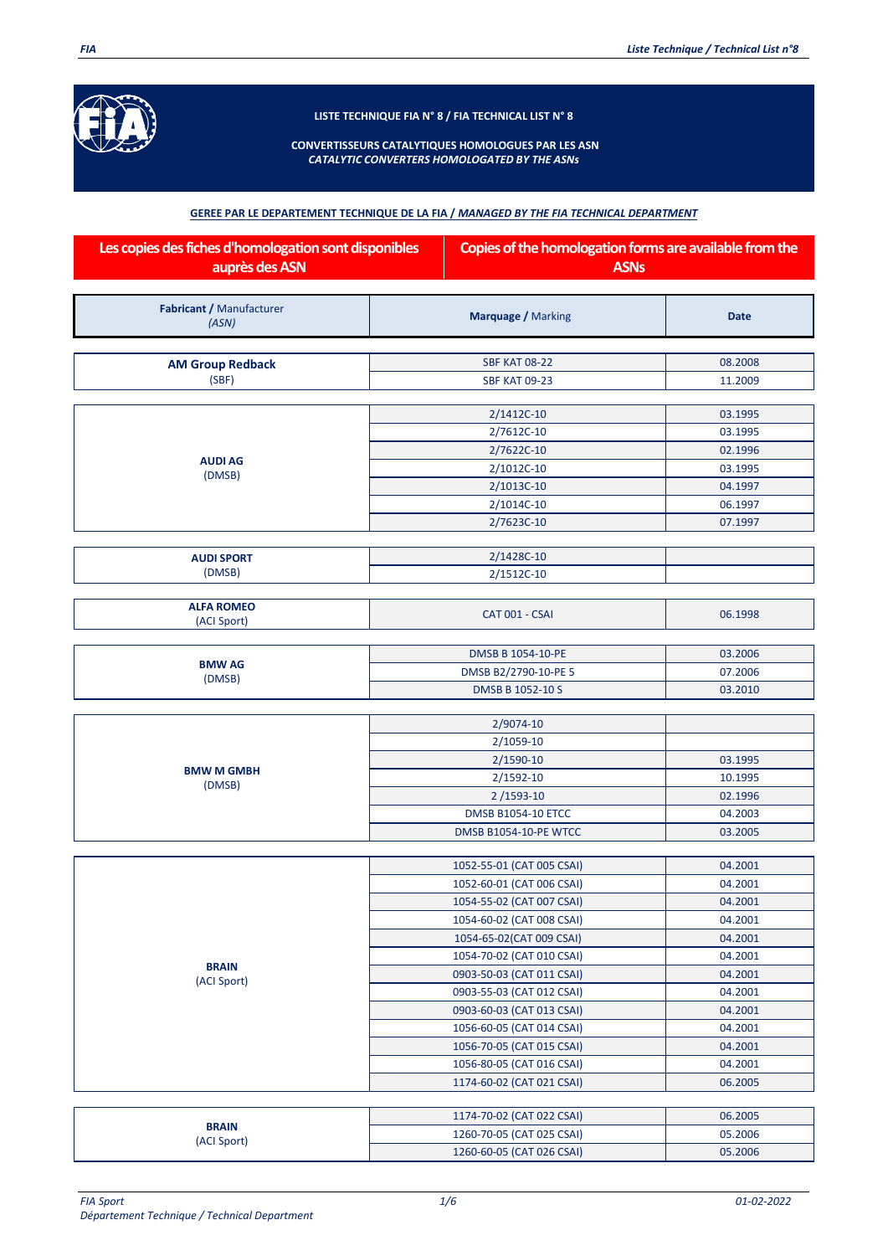

**LISTE TECHNIQUE FIA N° 8 / FIA TECHNICAL LIST N° 8**

## **CONVERTISSEURS CATALYTIQUES HOMOLOGUES PAR LES ASN** *CATALYTIC CONVERTERS HOMOLOGATED BY THE ASNs*

## **GEREE PAR LE DEPARTEMENT TECHNIQUE DE LA FIA /** *MANAGED BY THE FIA TECHNICAL DEPARTMENT*

| Les copies des fiches d'homologation sont disponibles<br>auprès des ASN |                              | Copies of the homologation forms are available from the<br><b>ASNs</b> |  |
|-------------------------------------------------------------------------|------------------------------|------------------------------------------------------------------------|--|
| Fabricant / Manufacturer<br>(ASN)                                       | <b>Marquage / Marking</b>    | <b>Date</b>                                                            |  |
|                                                                         |                              |                                                                        |  |
| <b>AM Group Redback</b>                                                 | <b>SBF KAT 08-22</b>         | 08.2008                                                                |  |
| (SBF)                                                                   | <b>SBF KAT 09-23</b>         | 11.2009                                                                |  |
|                                                                         | 2/1412C-10                   | 03.1995                                                                |  |
|                                                                         | 2/7612C-10                   | 03.1995                                                                |  |
|                                                                         | 2/7622C-10                   | 02.1996                                                                |  |
| <b>AUDI AG</b>                                                          | 2/1012C-10                   | 03.1995                                                                |  |
| (DMSB)                                                                  | 2/1013C-10                   | 04.1997                                                                |  |
|                                                                         | 2/1014C-10                   | 06.1997                                                                |  |
|                                                                         | 2/7623C-10                   | 07.1997                                                                |  |
|                                                                         |                              |                                                                        |  |
| <b>AUDI SPORT</b>                                                       | 2/1428C-10                   |                                                                        |  |
| (DMSB)                                                                  | 2/1512C-10                   |                                                                        |  |
| <b>ALFA ROMEO</b><br>(ACI Sport)                                        | CAT 001 - CSAI               | 06.1998                                                                |  |
|                                                                         |                              |                                                                        |  |
| <b>BMW AG</b>                                                           | DMSB B 1054-10-PE            | 03.2006                                                                |  |
| (DMSB)                                                                  | DMSB B2/2790-10-PE 5         | 07.2006                                                                |  |
|                                                                         | DMSB B 1052-10 S             | 03.2010                                                                |  |
|                                                                         | 2/9074-10                    |                                                                        |  |
|                                                                         | 2/1059-10                    |                                                                        |  |
|                                                                         | 2/1590-10                    | 03.1995                                                                |  |
| <b>BMW M GMBH</b>                                                       | 2/1592-10                    | 10.1995                                                                |  |
| (DMSB)                                                                  | 2/1593-10                    | 02.1996                                                                |  |
|                                                                         | <b>DMSB B1054-10 ETCC</b>    | 04.2003                                                                |  |
|                                                                         | <b>DMSB B1054-10-PE WTCC</b> | 03.2005                                                                |  |
|                                                                         |                              |                                                                        |  |
|                                                                         | 1052-55-01 (CAT 005 CSAI)    | 04.2001                                                                |  |
|                                                                         | 1052-60-01 (CAT 006 CSAI)    | 04.2001                                                                |  |
|                                                                         | 1054-55-02 (CAT 007 CSAI)    | 04.2001                                                                |  |
|                                                                         | 1054-60-02 (CAT 008 CSAI)    | 04.2001                                                                |  |
|                                                                         | 1054-65-02(CAT 009 CSAI)     | 04.2001                                                                |  |
| <b>BRAIN</b>                                                            | 1054-70-02 (CAT 010 CSAI)    | 04.2001                                                                |  |
| (ACI Sport)                                                             | 0903-50-03 (CAT 011 CSAI)    | 04.2001                                                                |  |
|                                                                         | 0903-55-03 (CAT 012 CSAI)    | 04.2001                                                                |  |
|                                                                         | 0903-60-03 (CAT 013 CSAI)    | 04.2001                                                                |  |
|                                                                         | 1056-60-05 (CAT 014 CSAI)    | 04.2001                                                                |  |
|                                                                         | 1056-70-05 (CAT 015 CSAI)    | 04.2001                                                                |  |
|                                                                         | 1056-80-05 (CAT 016 CSAI)    | 04.2001                                                                |  |
|                                                                         | 1174-60-02 (CAT 021 CSAI)    | 06.2005                                                                |  |
|                                                                         | 1174-70-02 (CAT 022 CSAI)    | 06.2005                                                                |  |
| <b>BRAIN</b>                                                            | 1260-70-05 (CAT 025 CSAI)    | 05.2006                                                                |  |
| (ACI Sport)                                                             | 1260-60-05 (CAT 026 CSAI)    | 05.2006                                                                |  |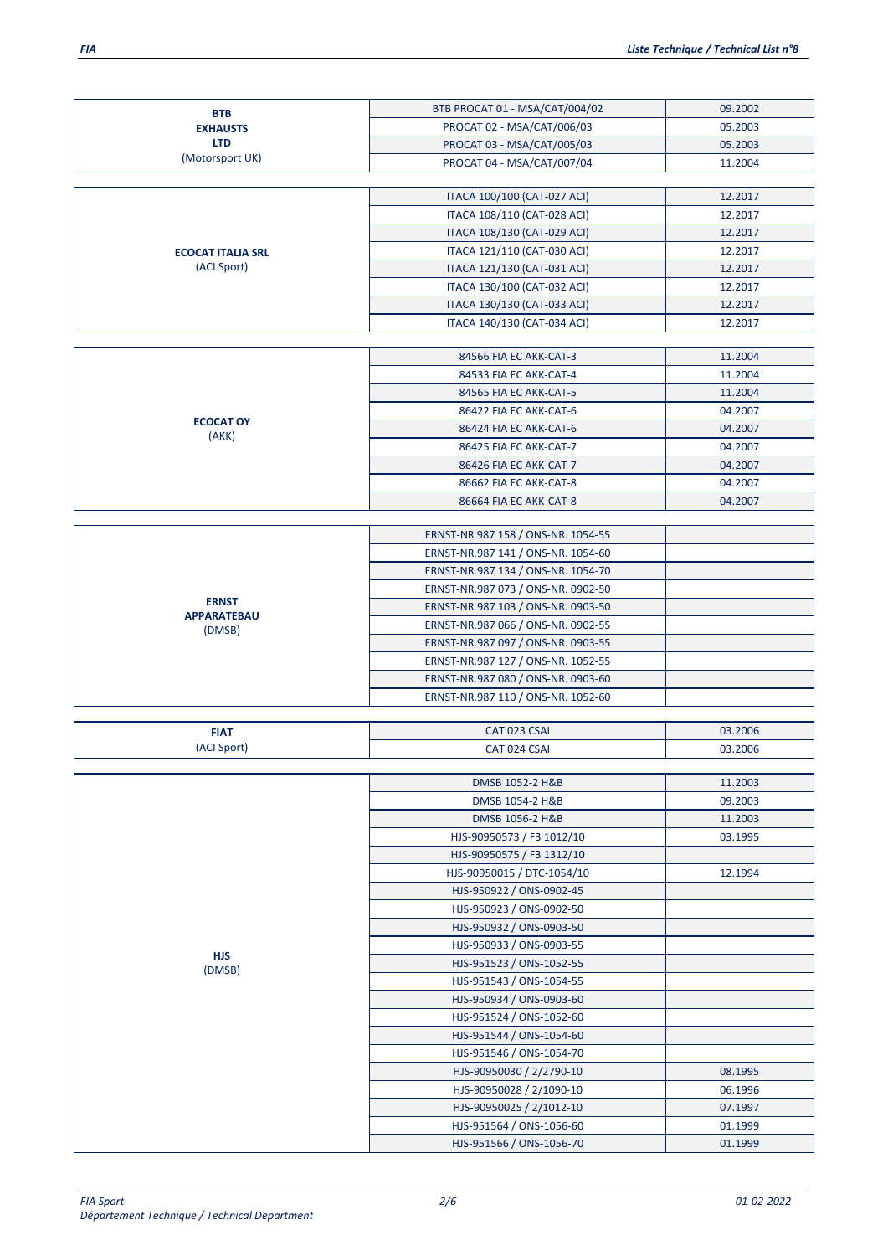BTB PROCAT 01 - MSA/CAT/004/02 09.2002 PROCAT 02 - MSA/CAT/006/03 05.2003<br>PROCAT 03 - MSA/CAT/005/03 05.2003

PROCAT 03 - MSA/CAT/005/03

| (Motorsport UK)          | PROCAT 04 - MSA/CAT/007/04                                               | 11.2004 |
|--------------------------|--------------------------------------------------------------------------|---------|
|                          |                                                                          |         |
|                          | ITACA 100/100 (CAT-027 ACI)                                              | 12.2017 |
|                          | ITACA 108/110 (CAT-028 ACI)                                              | 12.2017 |
|                          | ITACA 108/130 (CAT-029 ACI)                                              | 12.2017 |
| <b>ECOCAT ITALIA SRL</b> | ITACA 121/110 (CAT-030 ACI)                                              | 12.2017 |
| (ACI Sport)              | ITACA 121/130 (CAT-031 ACI)                                              | 12.2017 |
|                          | ITACA 130/100 (CAT-032 ACI)                                              | 12.2017 |
|                          | ITACA 130/130 (CAT-033 ACI)                                              | 12.2017 |
|                          | ITACA 140/130 (CAT-034 ACI)                                              | 12.2017 |
|                          |                                                                          |         |
|                          | 84566 FIA EC AKK-CAT-3                                                   | 11.2004 |
|                          | 84533 FIA EC AKK-CAT-4                                                   | 11.2004 |
|                          | 84565 FIA EC AKK-CAT-5                                                   | 11.2004 |
| <b>ECOCAT OY</b>         | 86422 FIA EC AKK-CAT-6                                                   | 04.2007 |
| (AKK)                    | 86424 FIA EC AKK-CAT-6                                                   | 04.2007 |
|                          | 86425 FIA EC AKK-CAT-7                                                   | 04.2007 |
|                          | 86426 FIA EC AKK-CAT-7                                                   | 04.2007 |
|                          | 86662 FIA EC AKK-CAT-8                                                   | 04.2007 |
|                          | 86664 FIA EC AKK-CAT-8                                                   | 04.2007 |
|                          |                                                                          |         |
|                          | ERNST-NR 987 158 / ONS-NR. 1054-55                                       |         |
|                          | ERNST-NR.987 141 / ONS-NR. 1054-60                                       |         |
|                          | ERNST-NR.987 134 / ONS-NR. 1054-70                                       |         |
| <b>ERNST</b>             | ERNST-NR.987 073 / ONS-NR. 0902-50                                       |         |
| <b>APPARATEBAU</b>       | ERNST-NR.987 103 / ONS-NR. 0903-50                                       |         |
| (DMSB)                   | ERNST-NR.987 066 / ONS-NR. 0902-55                                       |         |
|                          | ERNST-NR.987 097 / ONS-NR. 0903-55                                       |         |
|                          | ERNST-NR.987 127 / ONS-NR. 1052-55                                       |         |
|                          | ERNST-NR.987 080 / ONS-NR. 0903-60<br>ERNST-NR.987 110 / ONS-NR. 1052-60 |         |
|                          |                                                                          |         |
| <b>FIAT</b>              | CAT 023 CSAI                                                             | 03.2006 |
| (ACI Sport)              | CAT 024 CSAI                                                             | 03.2006 |
|                          |                                                                          |         |
|                          | DMSB 1052-2 H&B                                                          | 11.2003 |
|                          | DMSB 1054-2 H&B                                                          | 09.2003 |
|                          | DMSB 1056-2 H&B                                                          | 11.2003 |
|                          | HJS-90950573 / F3 1012/10                                                | 03.1995 |
|                          | HJS-90950575 / F3 1312/10                                                |         |
|                          | HJS-90950015 / DTC-1054/10                                               | 12.1994 |
|                          | HJS-950922 / ONS-0902-45                                                 |         |
|                          | HJS-950923 / ONS-0902-50                                                 |         |
|                          | HJS-950932 / ONS-0903-50                                                 |         |
|                          | HJS-950933 / ONS-0903-55                                                 |         |
| <b>HJS</b><br>(DMSB)     | HJS-951523 / ONS-1052-55                                                 |         |
|                          | HJS-951543 / ONS-1054-55                                                 |         |
|                          | HJS-950934 / ONS-0903-60                                                 |         |
|                          | HJS-951524 / ONS-1052-60                                                 |         |
|                          | HJS-951544 / ONS-1054-60                                                 |         |
|                          | HJS-951546 / ONS-1054-70                                                 |         |
|                          | HJS-90950030 / 2/2790-10                                                 | 08.1995 |
|                          | HJS-90950028 / 2/1090-10                                                 | 06.1996 |
|                          | HJS-90950025 / 2/1012-10                                                 | 07.1997 |
|                          | HJS-951564 / ONS-1056-60                                                 | 01.1999 |
|                          | HJS-951566 / ONS-1056-70                                                 | 01.1999 |
|                          |                                                                          |         |

**BTB EXHAUSTS LTD** (Motorsport UK)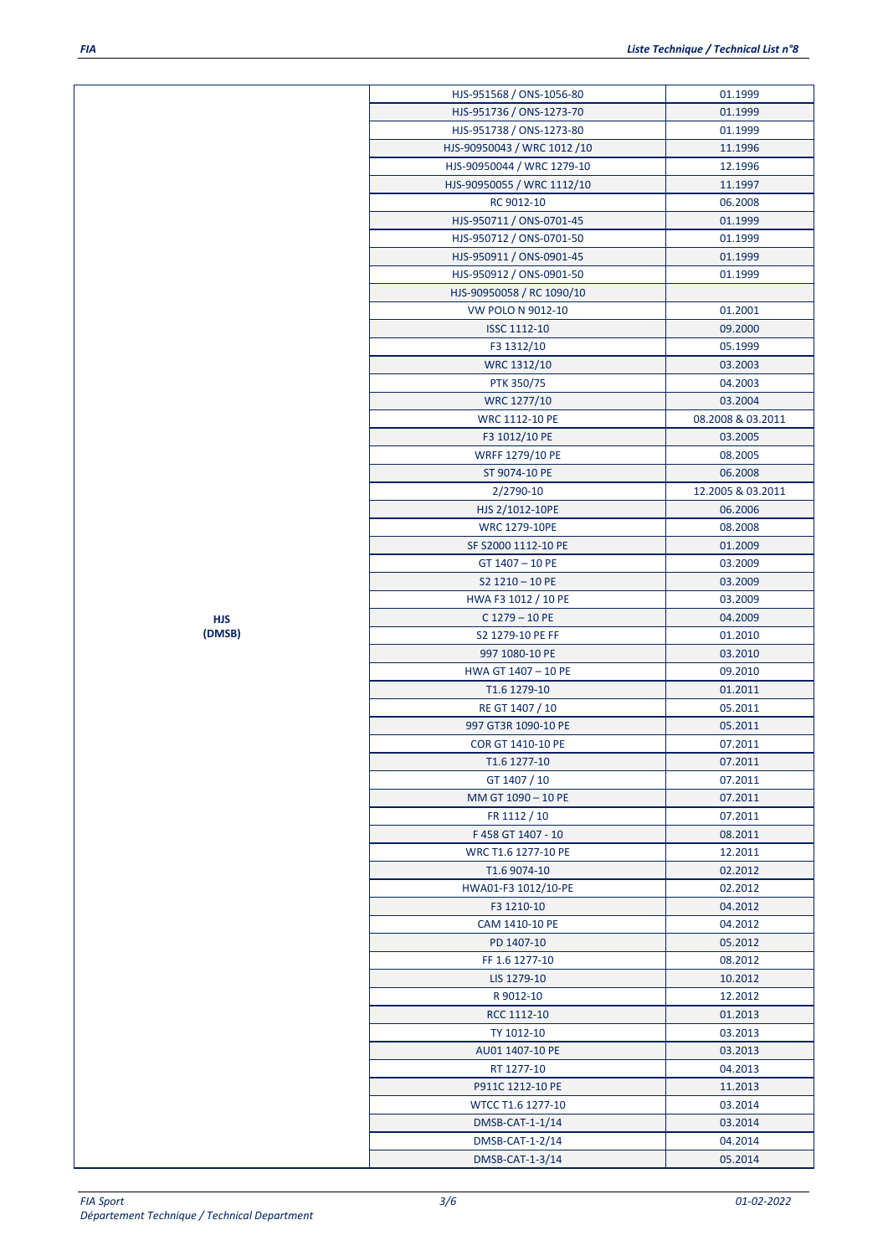| HJS-951568 / ONS-1056-80    | 01.1999           |
|-----------------------------|-------------------|
| HJS-951736 / ONS-1273-70    | 01.1999           |
| HJS-951738 / ONS-1273-80    | 01.1999           |
| HJS-90950043 / WRC 1012 /10 | 11.1996           |
| HJS-90950044 / WRC 1279-10  | 12.1996           |
| HJS-90950055 / WRC 1112/10  | 11.1997           |
| RC 9012-10                  | 06.2008           |
| HJS-950711 / ONS-0701-45    | 01.1999           |
| HJS-950712 / ONS-0701-50    | 01.1999           |
| HJS-950911 / ONS-0901-45    | 01.1999           |
|                             | 01.1999           |
| HJS-950912 / ONS-0901-50    |                   |
| HJS-90950058 / RC 1090/10   |                   |
| VW POLO N 9012-10           | 01.2001           |
| <b>ISSC 1112-10</b>         | 09.2000           |
| F3 1312/10                  | 05.1999           |
| WRC 1312/10                 | 03.2003           |
| PTK 350/75                  | 04.2003           |
| WRC 1277/10                 | 03.2004           |
| <b>WRC 1112-10 PE</b>       | 08.2008 & 03.2011 |
| F3 1012/10 PE               | 03.2005           |
| <b>WRFF 1279/10 PE</b>      | 08.2005           |
| ST 9074-10 PE               | 06.2008           |
| 2/2790-10                   | 12.2005 & 03.2011 |
| HJS 2/1012-10PE             | 06.2006           |
| <b>WRC 1279-10PE</b>        | 08.2008           |
| SF S2000 1112-10 PE         | 01.2009           |
| GT 1407 - 10 PE             | 03.2009           |
| $S2$ 1210 - 10 PE           | 03.2009           |
| HWA F3 1012 / 10 PE         | 03.2009           |
| $C$ 1279 - 10 PE            | 04.2009           |
| S2 1279-10 PE FF            | 01.2010           |
| 997 1080-10 PE              | 03.2010           |
| HWA GT 1407 - 10 PE         | 09.2010           |
| T1.6 1279-10                | 01.2011           |
| RE GT 1407 / 10             | 05.2011           |
| 997 GT3R 1090-10 PE         | 05.2011           |
| <b>COR GT 1410-10 PE</b>    | 07.2011           |
| T1.6 1277-10                | 07.2011           |
| GT 1407 / 10                | 07.2011           |
| MM GT 1090 - 10 PE          | 07.2011           |
| FR 1112 / 10                | 07.2011           |
| F458 GT 1407 - 10           | 08.2011           |
| WRC T1.6 1277-10 PE         | 12.2011           |
| T1.6 9074-10                | 02.2012           |
| HWA01-F3 1012/10-PE         | 02.2012           |
| F3 1210-10                  | 04.2012           |
| CAM 1410-10 PE              | 04.2012           |
| PD 1407-10                  | 05.2012           |
| FF 1.6 1277-10              | 08.2012           |
| LIS 1279-10                 | 10.2012           |
| R 9012-10                   | 12.2012           |
| RCC 1112-10                 | 01.2013           |
| TY 1012-10                  | 03.2013           |
| AU01 1407-10 PE             | 03.2013           |
| RT 1277-10                  | 04.2013           |
|                             |                   |
| P911C 1212-10 PE            | 11.2013           |
| WTCC T1.6 1277-10           | 03.2014           |
| DMSB-CAT-1-1/14             | 03.2014           |
| DMSB-CAT-1-2/14             | 04.2014           |
| DMSB-CAT-1-3/14             | 05.2014           |

**HJS (DMSB)**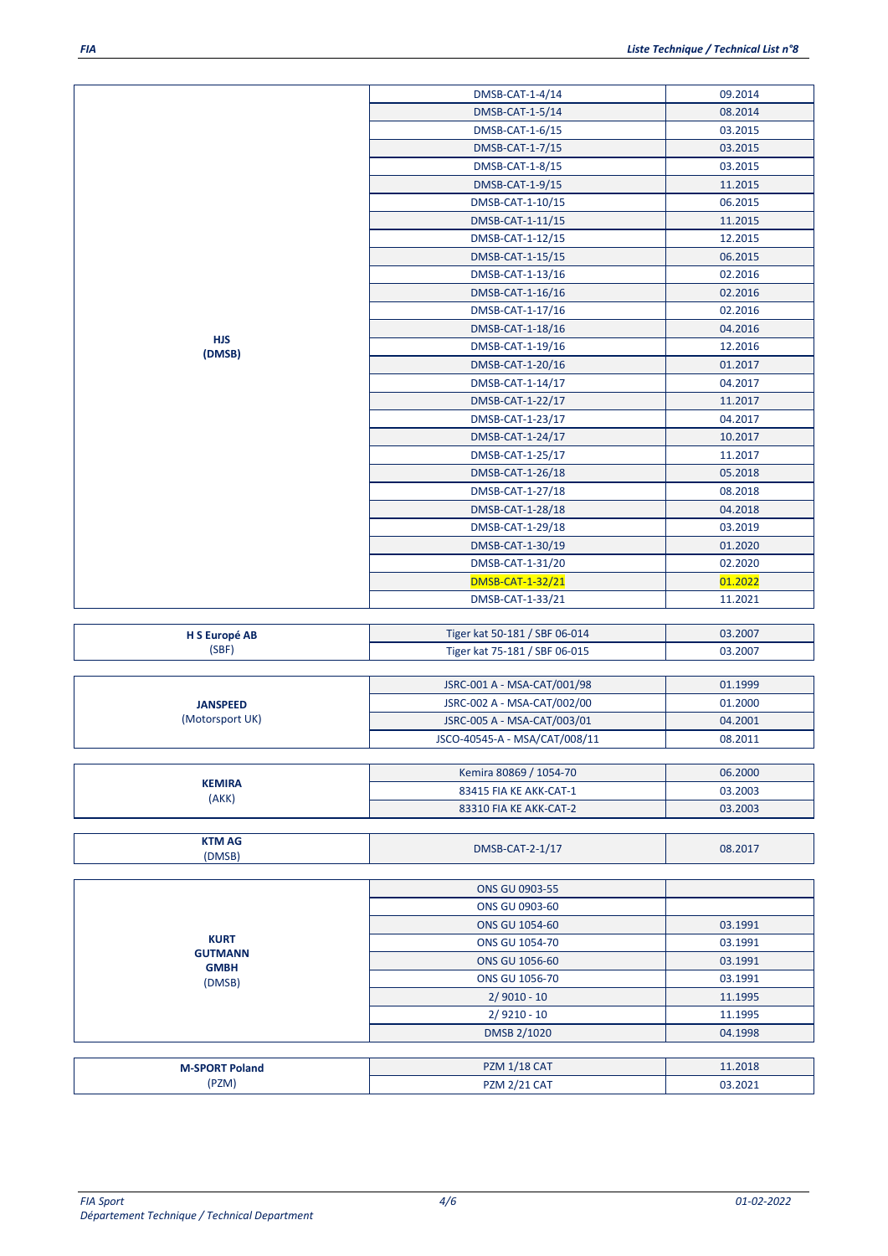|                                              | DMSB-CAT-1-4/14               | 09.2014 |
|----------------------------------------------|-------------------------------|---------|
|                                              | DMSB-CAT-1-5/14               | 08.2014 |
|                                              | DMSB-CAT-1-6/15               | 03.2015 |
|                                              | DMSB-CAT-1-7/15               | 03.2015 |
|                                              | DMSB-CAT-1-8/15               | 03.2015 |
|                                              | DMSB-CAT-1-9/15               | 11.2015 |
|                                              | DMSB-CAT-1-10/15              | 06.2015 |
|                                              | DMSB-CAT-1-11/15              | 11.2015 |
|                                              | DMSB-CAT-1-12/15              | 12.2015 |
|                                              | DMSB-CAT-1-15/15              | 06.2015 |
|                                              | DMSB-CAT-1-13/16              | 02.2016 |
|                                              | DMSB-CAT-1-16/16              | 02.2016 |
|                                              | DMSB-CAT-1-17/16              | 02.2016 |
|                                              | DMSB-CAT-1-18/16              | 04.2016 |
| <b>HJS</b>                                   | DMSB-CAT-1-19/16              | 12.2016 |
| (DMSB)                                       | DMSB-CAT-1-20/16              | 01.2017 |
|                                              | DMSB-CAT-1-14/17              | 04.2017 |
|                                              | DMSB-CAT-1-22/17              | 11.2017 |
|                                              | DMSB-CAT-1-23/17              | 04.2017 |
|                                              | DMSB-CAT-1-24/17              | 10.2017 |
|                                              | DMSB-CAT-1-25/17              | 11.2017 |
|                                              | DMSB-CAT-1-26/18              | 05.2018 |
|                                              |                               |         |
|                                              | DMSB-CAT-1-27/18              | 08.2018 |
|                                              | DMSB-CAT-1-28/18              | 04.2018 |
|                                              | DMSB-CAT-1-29/18              | 03.2019 |
|                                              | DMSB-CAT-1-30/19              | 01.2020 |
|                                              | DMSB-CAT-1-31/20              | 02.2020 |
|                                              | <b>DMSB-CAT-1-32/21</b>       | 01.2022 |
|                                              | DMSB-CAT-1-33/21              | 11.2021 |
|                                              | Tiger kat 50-181 / SBF 06-014 | 03.2007 |
| H S Europé AB<br>(SBF)                       | Tiger kat 75-181 / SBF 06-015 | 03.2007 |
|                                              |                               |         |
|                                              | JSRC-001 A - MSA-CAT/001/98   | 01.1999 |
| <b>JANSPEED</b>                              | JSRC-002 A - MSA-CAT/002/00   | 01.2000 |
| (Motorsport UK)                              | JSRC-005 A - MSA-CAT/003/01   | 04.2001 |
|                                              | JSCO-40545-A - MSA/CAT/008/11 | 08.2011 |
|                                              |                               |         |
|                                              | Kemira 80869 / 1054-70        | 06.2000 |
| <b>KEMIRA</b><br>(AKK)                       | 83415 FIA KE AKK-CAT-1        | 03.2003 |
|                                              | 83310 FIA KE AKK-CAT-2        | 03.2003 |
|                                              |                               |         |
| <b>KTM AG</b>                                | DMSB-CAT-2-1/17               | 08.2017 |
| (DMSB)                                       |                               |         |
|                                              | <b>ONS GU 0903-55</b>         |         |
|                                              | ONS GU 0903-60                |         |
| <b>KURT</b><br><b>GUTMANN</b><br><b>GMBH</b> | ONS GU 1054-60                | 03.1991 |
|                                              | ONS GU 1054-70                | 03.1991 |
|                                              |                               |         |
|                                              | ONS GU 1056-60                | 03.1991 |
| (DMSB)                                       | ONS GU 1056-70                | 03.1991 |
|                                              | $2/9010 - 10$                 | 11.1995 |
|                                              | $2/9210 - 10$                 | 11.1995 |
|                                              | DMSB 2/1020                   | 04.1998 |
| <b>M-SPORT Poland</b>                        | <b>PZM 1/18 CAT</b>           | 11.2018 |
| (PZM)                                        | <b>PZM 2/21 CAT</b>           | 03.2021 |
|                                              |                               |         |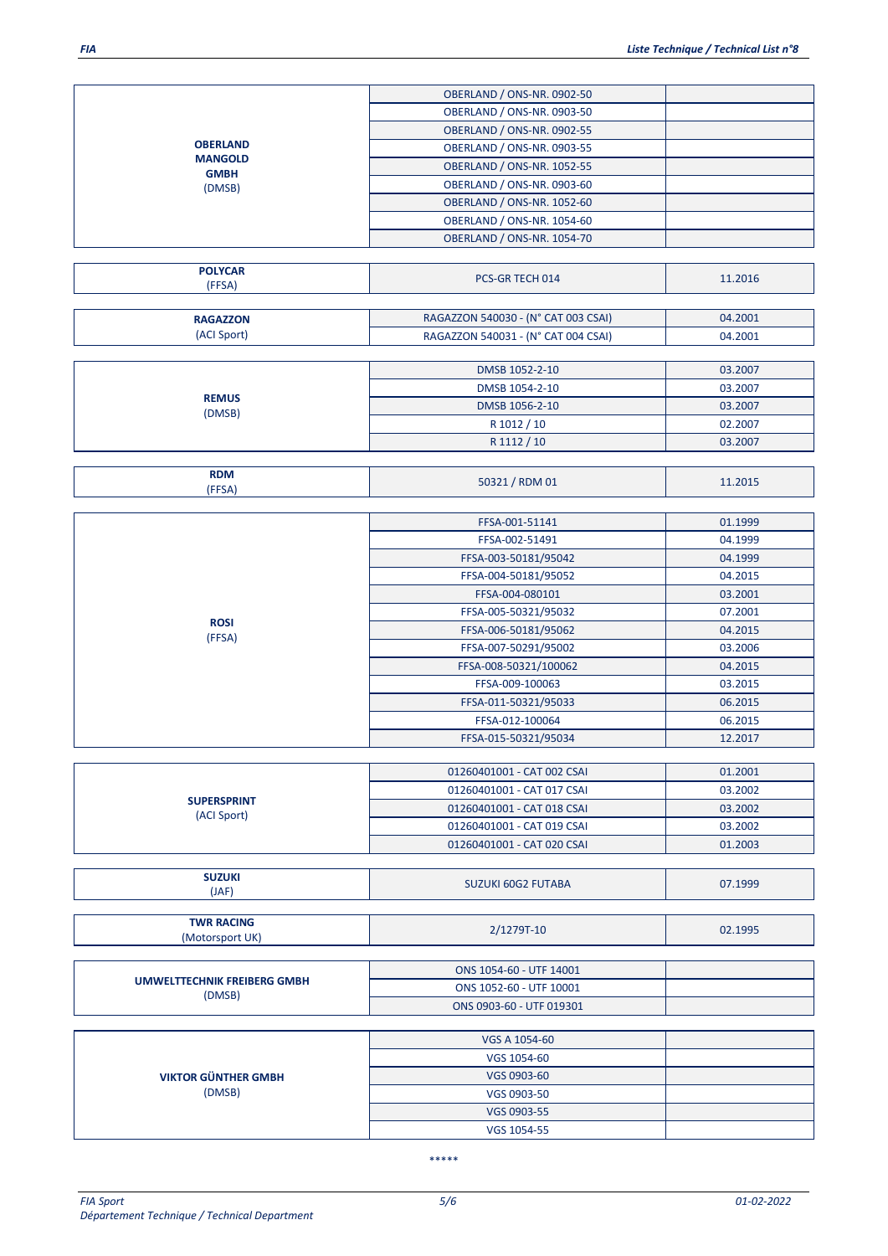R 1012 / 10 02.2007<br>R 1112 / 10 03.2007

| <b>OBERLAND</b><br><b>MANGOLD</b><br><b>GMBH</b><br>(DMSB) | <b>OBERLAND / ONS-NR. 0902-50</b> |  |
|------------------------------------------------------------|-----------------------------------|--|
|                                                            | OBERLAND / ONS-NR. 0903-50        |  |
|                                                            | <b>OBERLAND / ONS-NR. 0902-55</b> |  |
|                                                            | <b>OBERLAND / ONS-NR. 0903-55</b> |  |
|                                                            | <b>OBERLAND / ONS-NR. 1052-55</b> |  |
|                                                            | OBERLAND / ONS-NR. 0903-60        |  |
|                                                            | <b>OBERLAND / ONS-NR. 1052-60</b> |  |
|                                                            | <b>OBERLAND / ONS-NR. 1054-60</b> |  |
|                                                            | <b>OBERLAND / ONS-NR. 1054-70</b> |  |
|                                                            |                                   |  |

| <b>POLYCAR</b><br>(FFSA) | PCS-GR TECH 014                     | 11.2016 |
|--------------------------|-------------------------------------|---------|
|                          |                                     |         |
| <b>RAGAZZON</b>          | RAGAZZON 540030 - (N° CAT 003 CSAI) | 04.2001 |
| (ACI Sport)              | RAGAZZON 540031 - (N° CAT 004 CSAI) | 04.2001 |
|                          |                                     |         |
|                          | DMSB 1052-2-10                      | 03.2007 |
| <b>REMUS</b><br>(DMSB)   | DMSB 1054-2-10                      | 03.2007 |
|                          | DMSB 1056-2-10                      | 03.2007 |
|                          | _ _ _ _ _ _ _                       |         |

| <b>RDM</b><br>--- <b>-</b> | --<br><b>RDM 01</b><br>JUJ. | 1.2015<br>_______ |
|----------------------------|-----------------------------|-------------------|
| гэн                        |                             |                   |

R 1112 / 10

|                       | FFSA-001-51141        | 01.1999 |
|-----------------------|-----------------------|---------|
|                       | FFSA-002-51491        | 04.1999 |
|                       | FFSA-003-50181/95042  | 04.1999 |
|                       | FFSA-004-50181/95052  | 04.2015 |
|                       | FFSA-004-080101       | 03.2001 |
| <b>ROSI</b><br>(FFSA) | FFSA-005-50321/95032  | 07.2001 |
|                       | FFSA-006-50181/95062  | 04.2015 |
|                       | FFSA-007-50291/95002  | 03.2006 |
|                       | FFSA-008-50321/100062 | 04.2015 |
|                       | FFSA-009-100063       | 03.2015 |
|                       | FFSA-011-50321/95033  | 06.2015 |
|                       | FFSA-012-100064       | 06.2015 |
|                       | FFSA-015-50321/95034  | 12.2017 |

| <b>SUPERSPRINT</b><br>(ACI Sport) | 01260401001 - CAT 002 CSAI | 01.2001 |
|-----------------------------------|----------------------------|---------|
|                                   | 01260401001 - CAT 017 CSAI | 03.2002 |
|                                   | 01260401001 - CAT 018 CSAI | 03.2002 |
|                                   | 01260401001 - CAT 019 CSAI | 03.2002 |
|                                   | 01260401001 - CAT 020 CSAI | 01.2003 |

| SUZUKI<br>. | SUZUKI 60G2<br>? FUTABA | 07 1999 |
|-------------|-------------------------|---------|
| (JAF)       |                         |         |

| <b>TWR RACING</b><br>(Motorsport UK)           | 2/1279T-10              | 02.1995 |
|------------------------------------------------|-------------------------|---------|
|                                                |                         |         |
| <b><i>URBANELTEROUSIUS EREIRERG GRANUL</i></b> | ONS 1054-60 - UTF 14001 |         |

| UMWELTTECHNIK FREIBERG GMBH<br>(DMSB) | ONS 1052-60 - UTF 10001  |  |
|---------------------------------------|--------------------------|--|
|                                       | ONS 0903-60 - UTF 019301 |  |
|                                       |                          |  |

| <b>VIKTOR GÜNTHER GMBH</b><br>(DMSB) | VGS A 1054-60 |  |
|--------------------------------------|---------------|--|
|                                      | VGS 1054-60   |  |
|                                      | VGS 0903-60   |  |
|                                      | VGS 0903-50   |  |
|                                      | VGS 0903-55   |  |
|                                      | VGS 1054-55   |  |

\*\*\*\*\*